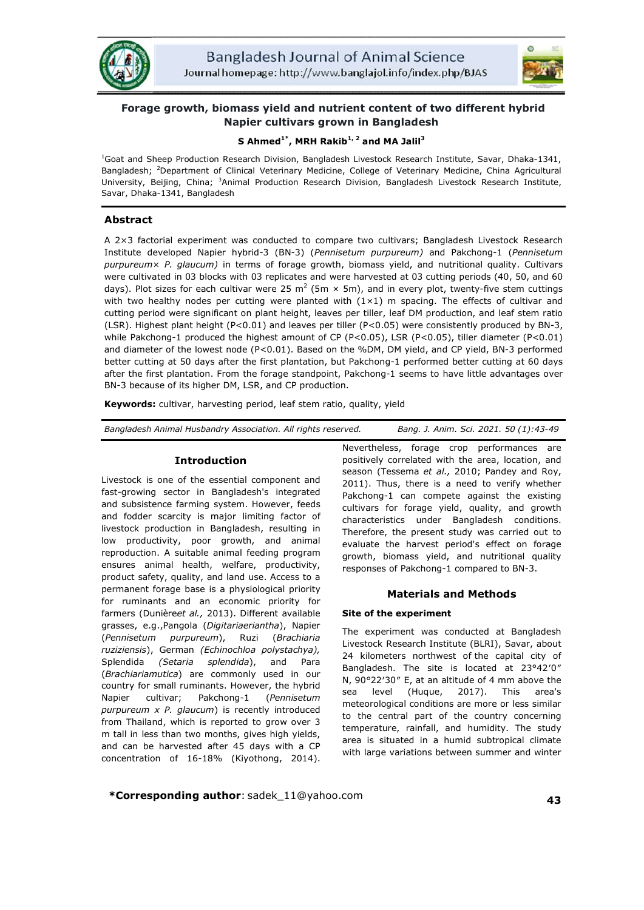



# **Forage growth, biomass yield and nutrient content of two different hybrid Napier cultivars grown in Bangladesh**

## **S Ahmed1\*, MRH Rakib1, 2 and MA Jalil<sup>3</sup>**

1 Goat and Sheep Production Research Division, Bangladesh Livestock Research Institute, Savar, Dhaka-1341, Bangladesh; <sup>2</sup>Department of Clinical Veterinary Medicine, College of Veterinary Medicine, China Agricultural University, Beijing, China; <sup>3</sup>Animal Production Research Division, Bangladesh Livestock Research Institute, Savar, Dhaka-1341, Bangladesh

## **Abstract**

A 2×3 factorial experiment was conducted to compare two cultivars; Bangladesh Livestock Research Institute developed Napier hybrid-3 (BN-3) (*Pennisetum purpureum)* and Pakchong-1 (*Pennisetum purpureum*× *P. glaucum)* in terms of forage growth, biomass yield, and nutritional quality. Cultivars were cultivated in 03 blocks with 03 replicates and were harvested at 03 cutting periods (40, 50, and 60 days). Plot sizes for each cultivar were 25  $m^2$  (5m  $\times$  5m), and in every plot, twenty-five stem cuttings with two healthy nodes per cutting were planted with  $(1\times1)$  m spacing. The effects of cultivar and cutting period were significant on plant height, leaves per tiller, leaf DM production, and leaf stem ratio (LSR). Highest plant height (P<0.01) and leaves per tiller (P<0.05) were consistently produced by BN-3, while Pakchong-1 produced the highest amount of CP (P<0.05), LSR (P<0.05), tiller diameter (P<0.01) and diameter of the lowest node (P<0.01). Based on the %DM, DM yield, and CP yield, BN-3 performed better cutting at 50 days after the first plantation, but Pakchong-1 performed better cutting at 60 days after the first plantation. From the forage standpoint, Pakchong-1 seems to have little advantages over BN-3 because of its higher DM, LSR, and CP production.

**Keywords:** cultivar, harvesting period, leaf stem ratio, quality, yield

*Bangladesh Animal Husbandry Association. All rights reserved. Bang. J. Anim. Sci. 2021. 50 (1):43-49*

#### **Introduction**

Livestock is one of the essential component and fast-growing sector in Bangladesh's integrated and subsistence farming system. However, feeds and fodder scarcity is major limiting factor of livestock production in Bangladesh, resulting in low productivity, poor growth, and animal reproduction. A suitable animal feeding program ensures animal health, welfare, productivity, product safety, quality, and land use. Access to a permanent forage base is a physiological priority for ruminants and an economic priority for farmers (Dunière*et al.,* 2013). Different available grasses, e.g.,Pangola (*Digitariaeriantha*), Napier (*Pennisetum purpureum*), Ruzi (*Brachiaria ruziziensis*), German *(Echinochloa polystachya),*  Splendida *(Setaria splendida*), and Para (*Brachiariamutica*) are commonly used in our country for small ruminants. However, the hybrid Napier cultivar; Pakchong-1 (*Pennisetum purpureum x P. glaucum*) is recently introduced from Thailand, which is reported to grow over 3 m tall in less than two months, gives high yields, and can be harvested after 45 days with a CP concentration of 16-18% (Kiyothong, 2014).

Nevertheless, forage crop performances are positively correlated with the area, location, and season (Tessema *et al.,* 2010; Pandey and Roy, 2011). Thus, there is a need to verify whether Pakchong-1 can compete against the existing cultivars for forage yield, quality, and growth characteristics under Bangladesh conditions. Therefore, the present study was carried out to evaluate the harvest period's effect on forage growth, biomass yield, and nutritional quality responses of Pakchong-1 compared to BN-3.

## **Materials and Methods**

#### **Site of the experiment**

The experiment was conducted at Bangladesh Livestock Research Institute (BLRI), Savar, about 24 kilometers northwest of the capital city of Bangladesh. The site is located at 23°42′0″ N, 90°22′30″ E, at an altitude of 4 mm above the sea level (Huque, 2017). This area's meteorological conditions are more or less similar to the central part of the country concerning temperature, rainfall, and humidity. The study area is situated in a humid subtropical climate with large variations between summer and winter

**\*Corresponding author**: sadek\_11@yahoo.com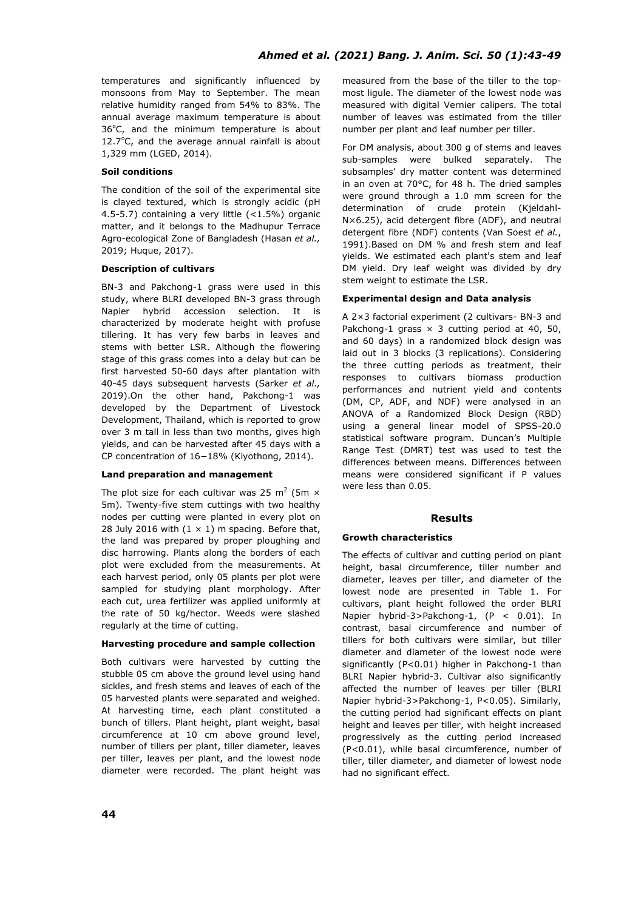temperatures and significantly influenced by monsoons from May to September. The mean relative humidity ranged from 54% to 83%. The annual average maximum temperature is about 36°C, and the minimum temperature is about 12.7°C, and the average annual rainfall is about 1,329 mm (LGED, 2014).

#### **Soil conditions**

The condition of the soil of the experimental site is clayed textured, which is strongly acidic (pH 4.5-5.7) containing a very little (<1.5%) organic matter, and it belongs to the Madhupur Terrace Agro-ecological Zone of Bangladesh (Hasan *et al.,*  2019; Huque, 2017).

#### **Description of cultivars**

BN-3 and Pakchong-1 grass were used in this study, where BLRI developed BN-3 grass through Napier hybrid accession selection. It is characterized by moderate height with profuse tillering. It has very few barbs in leaves and stems with better LSR. Although the flowering stage of this grass comes into a delay but can be first harvested 50-60 days after plantation with 40-45 days subsequent harvests (Sarker *et al.,* 2019).On the other hand, Pakchong-1 was developed by the Department of Livestock Development, Thailand, which is reported to grow over 3 m tall in less than two months, gives high yields, and can be harvested after 45 days with a CP concentration of 16−18% (Kiyothong, 2014).

#### **Land preparation and management**

The plot size for each cultivar was 25 m<sup>2</sup> (5m  $\times$ 5m). Twenty-five stem cuttings with two healthy nodes per cutting were planted in every plot on 28 July 2016 with  $(1 \times 1)$  m spacing. Before that, the land was prepared by proper ploughing and disc harrowing. Plants along the borders of each plot were excluded from the measurements. At each harvest period, only 05 plants per plot were sampled for studying plant morphology. After each cut, urea fertilizer was applied uniformly at the rate of 50 kg/hector. Weeds were slashed regularly at the time of cutting.

#### **Harvesting procedure and sample collection**

Both cultivars were harvested by cutting the stubble 05 cm above the ground level using hand sickles, and fresh stems and leaves of each of the 05 harvested plants were separated and weighed. At harvesting time, each plant constituted a bunch of tillers. Plant height, plant weight, basal circumference at 10 cm above ground level, number of tillers per plant, tiller diameter, leaves per tiller, leaves per plant, and the lowest node diameter were recorded. The plant height was measured from the base of the tiller to the topmost ligule. The diameter of the lowest node was measured with digital Vernier calipers. The total number of leaves was estimated from the tiller number per plant and leaf number per tiller.

For DM analysis, about 300 g of stems and leaves sub-samples were bulked separately. The subsamples' dry matter content was determined in an oven at 70°C, for 48 h. The dried samples were ground through a 1.0 mm screen for the determination of crude protein (Kjeldahl-N×6.25), acid detergent fibre (ADF), and neutral detergent fibre (NDF) contents (Van Soest *et al.*, 1991).Based on DM % and fresh stem and leaf yields. We estimated each plant's stem and leaf DM yield. Dry leaf weight was divided by dry stem weight to estimate the LSR.

#### **Experimental design and Data analysis**

A 2×3 factorial experiment (2 cultivars- BN-3 and Pakchong-1 grass  $\times$  3 cutting period at 40, 50, and 60 days) in a randomized block design was laid out in 3 blocks (3 replications). Considering the three cutting periods as treatment, their responses to cultivars biomass production performances and nutrient yield and contents (DM, CP, ADF, and NDF) were analysed in an ANOVA of a Randomized Block Design (RBD) using a general linear model of SPSS-20.0 statistical software program. Duncan's Multiple Range Test (DMRT) test was used to test the differences between means. Differences between means were considered significant if P values were less than 0.05.

## **Results**

#### **Growth characteristics**

The effects of cultivar and cutting period on plant height, basal circumference, tiller number and diameter, leaves per tiller, and diameter of the lowest node are presented in Table 1. For cultivars, plant height followed the order BLRI Napier hybrid-3>Pakchong-1, (P < 0.01). In contrast, basal circumference and number of tillers for both cultivars were similar, but tiller diameter and diameter of the lowest node were significantly (P<0.01) higher in Pakchong-1 than BLRI Napier hybrid-3. Cultivar also significantly affected the number of leaves per tiller (BLRI Napier hybrid-3>Pakchong-1, P<0.05). Similarly, the cutting period had significant effects on plant height and leaves per tiller, with height increased progressively as the cutting period increased (P<0.01), while basal circumference, number of tiller, tiller diameter, and diameter of lowest node had no significant effect.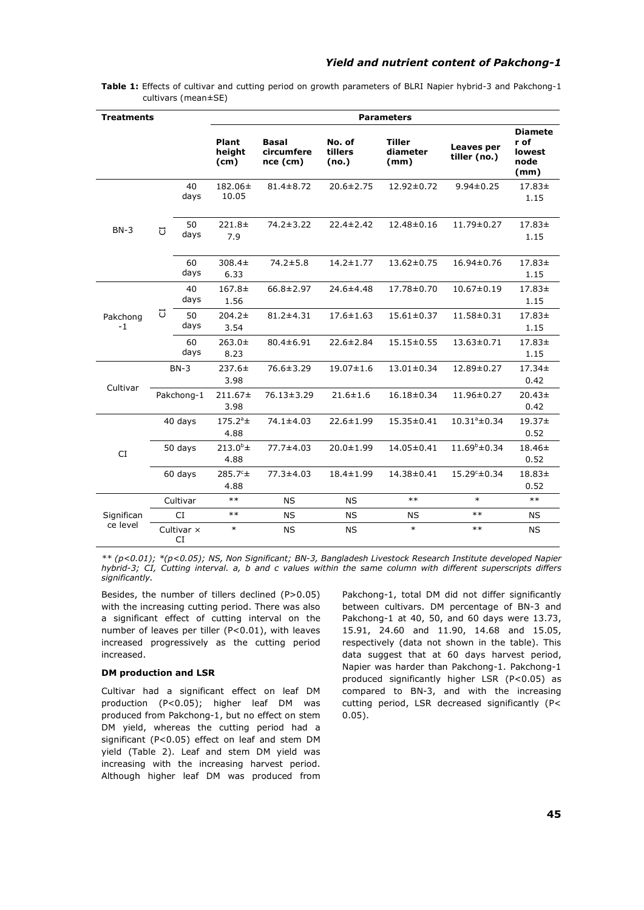| <b>Treatments</b> |                  |            | <b>Parameters</b>         |                                        |                            |                                   |                            |                                                  |  |  |
|-------------------|------------------|------------|---------------------------|----------------------------------------|----------------------------|-----------------------------------|----------------------------|--------------------------------------------------|--|--|
|                   |                  |            | Plant<br>height<br>(cm)   | <b>Basal</b><br>circumfere<br>nce (cm) | No. of<br>tillers<br>(no.) | <b>Tiller</b><br>diameter<br>(mm) | Leaves per<br>tiller (no.) | <b>Diamete</b><br>r of<br>lowest<br>node<br>(mm) |  |  |
| $BN-3$            |                  | 40<br>days | 182.06±<br>10.05          | $81.4 \pm 8.72$                        | $20.6 \pm 2.75$            | 12.92±0.72                        | $9.94 \pm 0.25$            | 17.83±<br>1.15                                   |  |  |
|                   | J                | 50<br>days | $221.8+$<br>7.9           | $74.2 \pm 3.22$                        | $22.4 \pm 2.42$            | 12.48±0.16                        | 11.79±0.27                 | $17.83+$<br>1.15                                 |  |  |
|                   |                  | 60<br>days | 308.4±<br>6.33            | $74.2 \pm 5.8$                         | $14.2 \pm 1.77$            | $13.62 \pm 0.75$                  | 16.94±0.76                 | 17.83±<br>1.15                                   |  |  |
| Pakchong<br>$-1$  | J                | 40<br>days | $167.8+$<br>1.56          | $66.8 \pm 2.97$                        | $24.6 \pm 4.48$            | 17.78±0.70                        | $10.67 \pm 0.19$           | 17.83±<br>1.15                                   |  |  |
|                   |                  | 50<br>days | $204.2 \pm$<br>3.54       | $81.2 \pm 4.31$                        | $17.6 \pm 1.63$            | $15.61 \pm 0.37$                  | 11.58±0.31                 | $17.83+$<br>1.15                                 |  |  |
|                   |                  | 60<br>days | $263.0+$<br>8.23          | $80.4 \pm 6.91$                        | $22.6 \pm 2.84$            | $15.15 \pm 0.55$                  | 13.63±0.71                 | 17.83±<br>1.15                                   |  |  |
| Cultivar          | $BN-3$           |            | $237.6 \pm$<br>3.98       | $76.6 \pm 3.29$                        | $19.07 \pm 1.6$            | $13.01 \pm 0.34$                  | 12.89±0.27                 | $17.34 \pm$<br>0.42                              |  |  |
|                   | Pakchong-1       |            | $211.67 \pm$<br>3.98      | 76.13±3.29                             | $21.6 \pm 1.6$             | 16.18±0.34                        | 11.96±0.27                 | $20.43+$<br>0.42                                 |  |  |
|                   | 40 days          |            | $175.2^a \pm$<br>4.88     | 74.1±4.03                              | $22.6 \pm 1.99$            | 15.35±0.41                        | $10.31^{\circ} \pm 0.34$   | 19.37±<br>0.52                                   |  |  |
| <b>CI</b>         | 50 days          |            | $213.0^{\circ}$ ±<br>4.88 | 77.7±4.03                              | $20.0 \pm 1.99$            | 14.05±0.41                        | $11.69^{\circ} \pm 0.34$   | $18.46 \pm$<br>0.52                              |  |  |
|                   | 60 days          |            | $285.7^{\circ}$ ±<br>4.88 | $77.3 \pm 4.03$                        | $18.4 \pm 1.99$            | 14.38±0.41                        | $15.29^{\circ} \pm 0.34$   | 18.83±<br>0.52                                   |  |  |
|                   |                  | Cultivar   | $***$                     | <b>NS</b>                              | <b>NS</b>                  | $***$                             | $\ast$                     | $***$                                            |  |  |
| Significan        |                  | CI         | $***$                     | <b>NS</b>                              | <b>NS</b>                  | <b>NS</b>                         | $***$                      | NS                                               |  |  |
| ce level          | Cultivar x<br>CI |            | $\ast$                    | <b>NS</b>                              | <b>NS</b>                  | $\ast$                            | $***$                      | NS                                               |  |  |

**Table 1:** Effects of cultivar and cutting period on growth parameters of BLRI Napier hybrid-3 and Pakchong-1 cultivars (mean±SE)

*\*\* (p<0.01); \*(p<0.05); NS, Non Significant; BN-3, Bangladesh Livestock Research Institute developed Napier hybrid-3; CI, Cutting interval. a, b and c values within the same column with different superscripts differs significantly.*

Besides, the number of tillers declined (P>0.05) with the increasing cutting period. There was also a significant effect of cutting interval on the number of leaves per tiller (P<0.01), with leaves increased progressively as the cutting period increased.

#### **DM production and LSR**

Cultivar had a significant effect on leaf DM production (P<0.05); higher leaf DM was produced from Pakchong-1, but no effect on stem DM yield, whereas the cutting period had a significant (P<0.05) effect on leaf and stem DM yield (Table 2). Leaf and stem DM yield was increasing with the increasing harvest period. Although higher leaf DM was produced from Pakchong-1, total DM did not differ significantly between cultivars. DM percentage of BN-3 and Pakchong-1 at 40, 50, and 60 days were 13.73, 15.91, 24.60 and 11.90, 14.68 and 15.05, respectively (data not shown in the table). This data suggest that at 60 days harvest period, Napier was harder than Pakchong-1. Pakchong-1 produced significantly higher LSR (P<0.05) as compared to BN-3, and with the increasing cutting period, LSR decreased significantly (P< 0.05).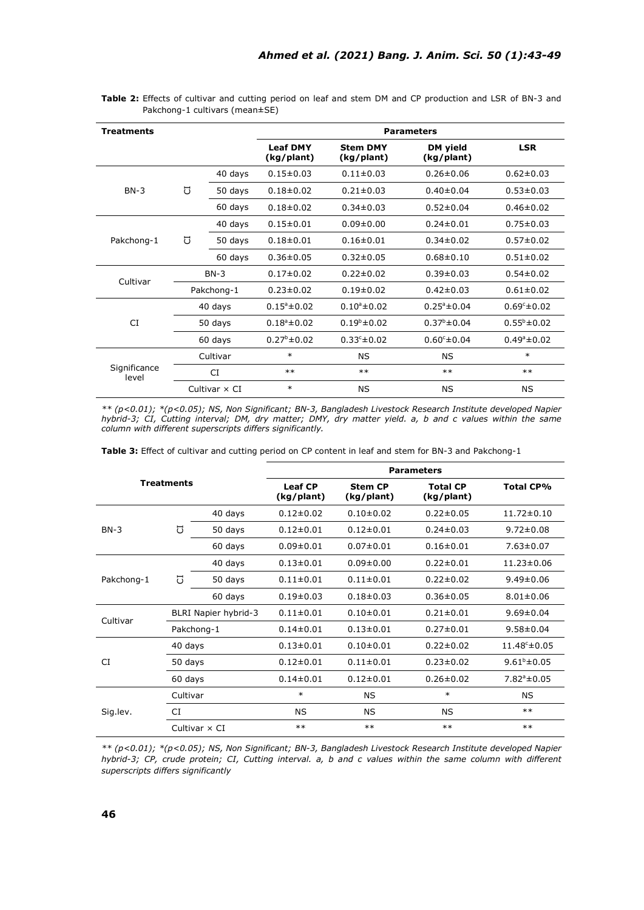| <b>Treatments</b>     |                      |            | <b>Parameters</b>             |                               |                         |                         |  |  |
|-----------------------|----------------------|------------|-------------------------------|-------------------------------|-------------------------|-------------------------|--|--|
|                       |                      |            | <b>Leaf DMY</b><br>(kg/plant) | <b>Stem DMY</b><br>(kg/plant) | DM yield<br>(kg/plant)  | <b>LSR</b>              |  |  |
| $BN-3$                |                      | 40 days    | $0.15 \pm 0.03$               | $0.11 \pm 0.03$               | $0.26 \pm 0.06$         | $0.62 \pm 0.03$         |  |  |
|                       | J                    | 50 days    | $0.18 \pm 0.02$               | $0.21 \pm 0.03$               | $0.40 \pm 0.04$         | $0.53 \pm 0.03$         |  |  |
|                       |                      | 60 days    | $0.18 \pm 0.02$               | $0.34 \pm 0.03$               | $0.52 \pm 0.04$         | $0.46 \pm 0.02$         |  |  |
| Pakchong-1            |                      | 40 days    | $0.15 \pm 0.01$               | $0.09 + 0.00$                 | $0.24 \pm 0.01$         | $0.75 \pm 0.03$         |  |  |
|                       | IJ                   | 50 days    | $0.18 \pm 0.01$               | $0.16 \pm 0.01$               | $0.34 \pm 0.02$         | $0.57 \pm 0.02$         |  |  |
|                       |                      | 60 days    | $0.36 \pm 0.05$               | $0.32 \pm 0.05$               | $0.68 \pm 0.10$         | $0.51 \pm 0.02$         |  |  |
|                       |                      | $BN-3$     | $0.17 \pm 0.02$               | $0.22 \pm 0.02$               | $0.39 \pm 0.03$         | $0.54 \pm 0.02$         |  |  |
| Cultivar              |                      | Pakchong-1 | $0.23 \pm 0.02$               | $0.19 \pm 0.02$               | $0.42 \pm 0.03$         | $0.61 \pm 0.02$         |  |  |
|                       | 40 days              |            | $0.15^{\circ} \pm 0.02$       | $0.10^a \pm 0.02$             | $0.25^{\circ} \pm 0.04$ | $0.69c \pm 0.02$        |  |  |
| <b>CI</b>             |                      | 50 days    | $0.18^a \pm 0.02$             | $0.19^{b} \pm 0.02$           | $0.37^{\circ}$ ± 0.04   | $0.55^{\circ}$ ± 0.02   |  |  |
|                       |                      | 60 days    | $0.27^{\circ}$ ± 0.02         | $0.33^{\circ} \pm 0.02$       | $0.60^{\circ} \pm 0.04$ | $0.49^{\circ} \pm 0.02$ |  |  |
|                       | Cultivar             |            | $\ast$                        | <b>NS</b>                     | NS                      | $\ast$                  |  |  |
| Significance<br>level |                      | CI         | $***$                         | $**$                          | $***$                   | $***$                   |  |  |
|                       | Cultivar $\times$ CI |            | $\ast$                        | <b>NS</b>                     | ΝS                      | ΝS                      |  |  |

**Table 2:** Effects of cultivar and cutting period on leaf and stem DM and CP production and LSR of BN-3 and Pakchong-1 cultivars (mean±SE)

*\*\* (p<0.01); \*(p<0.05); NS, Non Significant; BN-3, Bangladesh Livestock Research Institute developed Napier hybrid-3; CI, Cutting interval; DM, dry matter; DMY, dry matter yield. a, b and c values within the same column with different superscripts differs significantly.*

**Table 3:** Effect of cultivar and cutting period on CP content in leaf and stem for BN-3 and Pakchong-1

|                   |                      |            | <b>Parameters</b>            |                                                               |                 |                          |  |  |  |
|-------------------|----------------------|------------|------------------------------|---------------------------------------------------------------|-----------------|--------------------------|--|--|--|
| <b>Treatments</b> |                      |            | <b>Leaf CP</b><br>(kg/plant) | <b>Total CP</b><br><b>Stem CP</b><br>(kg/plant)<br>(kg/plant) |                 | <b>Total CP%</b>         |  |  |  |
| $BN-3$            |                      | 40 days    | $0.12 \pm 0.02$              | $0.10 \pm 0.02$                                               | $0.22 \pm 0.05$ | $11.72 \pm 0.10$         |  |  |  |
|                   | đ                    | 50 days    | $0.12 \pm 0.01$              | $0.12 \pm 0.01$<br>$0.24 \pm 0.03$                            |                 | $9.72 \pm 0.08$          |  |  |  |
|                   |                      | 60 days    | $0.09 \pm 0.01$              | $0.07 \pm 0.01$                                               | $0.16 \pm 0.01$ | $7.63 \pm 0.07$          |  |  |  |
| Pakchong-1        |                      | 40 days    | $0.13 \pm 0.01$              | $0.09 \pm 0.00$                                               | $0.22 \pm 0.01$ | $11.23 \pm 0.06$         |  |  |  |
|                   | J                    | 50 days    | $0.11 \pm 0.01$              | $0.11 \pm 0.01$                                               | $0.22 \pm 0.02$ | $9.49 \pm 0.06$          |  |  |  |
|                   |                      | 60 days    | $0.19 \pm 0.03$              | $0.18 + 0.03$                                                 | $0.36 \pm 0.05$ | $8.01 \pm 0.06$          |  |  |  |
| Cultivar          | BLRI Napier hybrid-3 |            | $0.11 \pm 0.01$              | $0.10 + 0.01$                                                 | $0.21 \pm 0.01$ | $9.69 \pm 0.04$          |  |  |  |
|                   |                      | Pakchong-1 | $0.14 \pm 0.01$              | $0.13 \pm 0.01$                                               | $0.27 \pm 0.01$ | $9.58 \pm 0.04$          |  |  |  |
|                   | 40 days              |            | $0.13 \pm 0.01$              | $0.10 + 0.01$                                                 | $0.22 \pm 0.02$ | $11.48^{\circ} \pm 0.05$ |  |  |  |
| CI                | 50 days              |            | $0.12 \pm 0.01$              | $0.11 \pm 0.01$                                               | $0.23 \pm 0.02$ | $9.61^b \pm 0.05$        |  |  |  |
|                   | 60 days              |            | $0.14 \pm 0.01$              | $0.12 \pm 0.01$                                               | $0.26 \pm 0.02$ | $7.82^{\circ} \pm 0.05$  |  |  |  |
| Sig.lev.          | Cultivar             |            | $\ast$                       | $\ast$<br><b>NS</b>                                           |                 | <b>NS</b>                |  |  |  |
|                   | CI                   |            | NS.                          | NS.                                                           | <b>NS</b>       | $***$                    |  |  |  |
|                   | Cultivar $\times$ CI |            | $***$                        | $**$                                                          | $***$           | $**$                     |  |  |  |

*\*\* (p<0.01); \*(p<0.05); NS, Non Significant; BN-3, Bangladesh Livestock Research Institute developed Napier hybrid-3; CP, crude protein; CI, Cutting interval. a, b and c values within the same column with different superscripts differs significantly*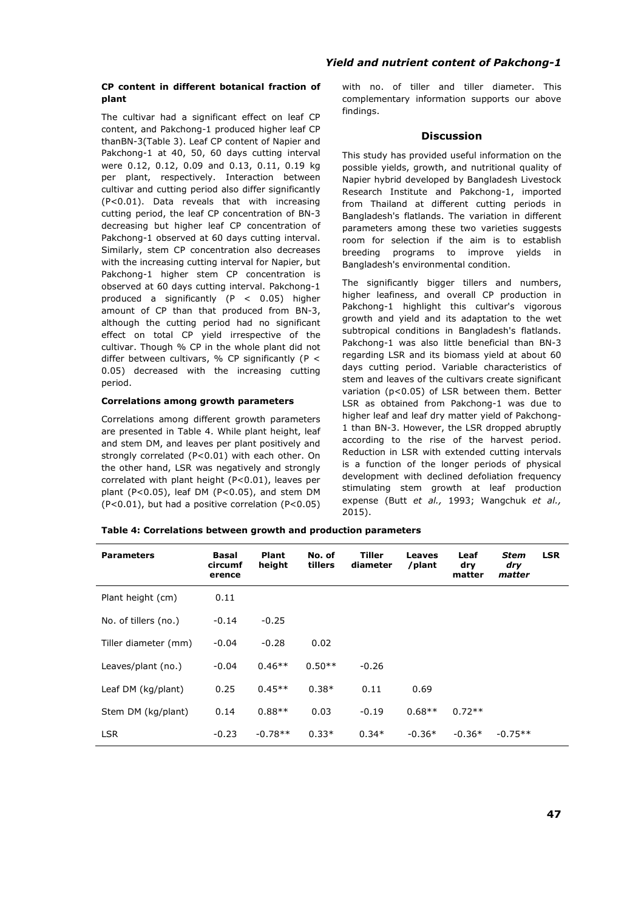#### **CP content in different botanical fraction of plant**

The cultivar had a significant effect on leaf CP content, and Pakchong-1 produced higher leaf CP thanBN-3(Table 3). Leaf CP content of Napier and Pakchong-1 at 40, 50, 60 days cutting interval were 0.12, 0.12, 0.09 and 0.13, 0.11, 0.19 kg per plant, respectively. Interaction between cultivar and cutting period also differ significantly (P<0.01). Data reveals that with increasing cutting period, the leaf CP concentration of BN-3 decreasing but higher leaf CP concentration of Pakchong-1 observed at 60 days cutting interval. Similarly, stem CP concentration also decreases with the increasing cutting interval for Napier, but Pakchong-1 higher stem CP concentration is observed at 60 days cutting interval. Pakchong-1 produced a significantly (P < 0.05) higher amount of CP than that produced from BN-3, although the cutting period had no significant effect on total CP yield irrespective of the cultivar. Though % CP in the whole plant did not differ between cultivars, % CP significantly (P  $<$ 0.05) decreased with the increasing cutting period.

#### **Correlations among growth parameters**

Correlations among different growth parameters are presented in Table 4. While plant height, leaf and stem DM, and leaves per plant positively and strongly correlated (P<0.01) with each other. On the other hand, LSR was negatively and strongly correlated with plant height (P<0.01), leaves per plant (P<0.05), leaf DM (P<0.05), and stem DM (P<0.01), but had a positive correlation (P<0.05)

### *Yield and nutrient content of Pakchong-1*

with no. of tiller and tiller diameter. This complementary information supports our above findings.

#### **Discussion**

This study has provided useful information on the possible yields, growth, and nutritional quality of Napier hybrid developed by Bangladesh Livestock Research Institute and Pakchong-1, imported from Thailand at different cutting periods in Bangladesh's flatlands. The variation in different parameters among these two varieties suggests room for selection if the aim is to establish breeding programs to improve yields in Bangladesh's environmental condition.

The significantly bigger tillers and numbers, higher leafiness, and overall CP production in Pakchong-1 highlight this cultivar's vigorous growth and yield and its adaptation to the wet subtropical conditions in Bangladesh's flatlands. Pakchong-1 was also little beneficial than BN-3 regarding LSR and its biomass yield at about 60 days cutting period. Variable characteristics of stem and leaves of the cultivars create significant variation (p<0.05) of LSR between them. Better LSR as obtained from Pakchong-1 was due to higher leaf and leaf dry matter yield of Pakchong-1 than BN-3. However, the LSR dropped abruptly according to the rise of the harvest period. Reduction in LSR with extended cutting intervals is a function of the longer periods of physical development with declined defoliation frequency stimulating stem growth at leaf production expense (Butt *et al.,* 1993; Wangchuk *et al.,* 2015).

**Table 4: Correlations between growth and production parameters** 

| <b>Parameters</b>    | Basal<br>circumf<br>erence | <b>Plant</b><br>height | No. of<br>tillers | Tiller<br>diameter | Leaves<br>/plant | Leaf<br>dry<br>matter | Stem<br>dry<br>matter | <b>LSR</b> |
|----------------------|----------------------------|------------------------|-------------------|--------------------|------------------|-----------------------|-----------------------|------------|
| Plant height (cm)    | 0.11                       |                        |                   |                    |                  |                       |                       |            |
| No. of tillers (no.) | $-0.14$                    | $-0.25$                |                   |                    |                  |                       |                       |            |
| Tiller diameter (mm) | $-0.04$                    | $-0.28$                | 0.02              |                    |                  |                       |                       |            |
| Leaves/plant (no.)   | $-0.04$                    | $0.46**$               | $0.50**$          | $-0.26$            |                  |                       |                       |            |
| Leaf DM (kg/plant)   | 0.25                       | $0.45**$               | $0.38*$           | 0.11               | 0.69             |                       |                       |            |
| Stem DM (kg/plant)   | 0.14                       | $0.88**$               | 0.03              | $-0.19$            | $0.68**$         | $0.72**$              |                       |            |
| <b>LSR</b>           | $-0.23$                    | $-0.78**$              | $0.33*$           | $0.34*$            | $-0.36*$         | $-0.36*$              | $-0.75**$             |            |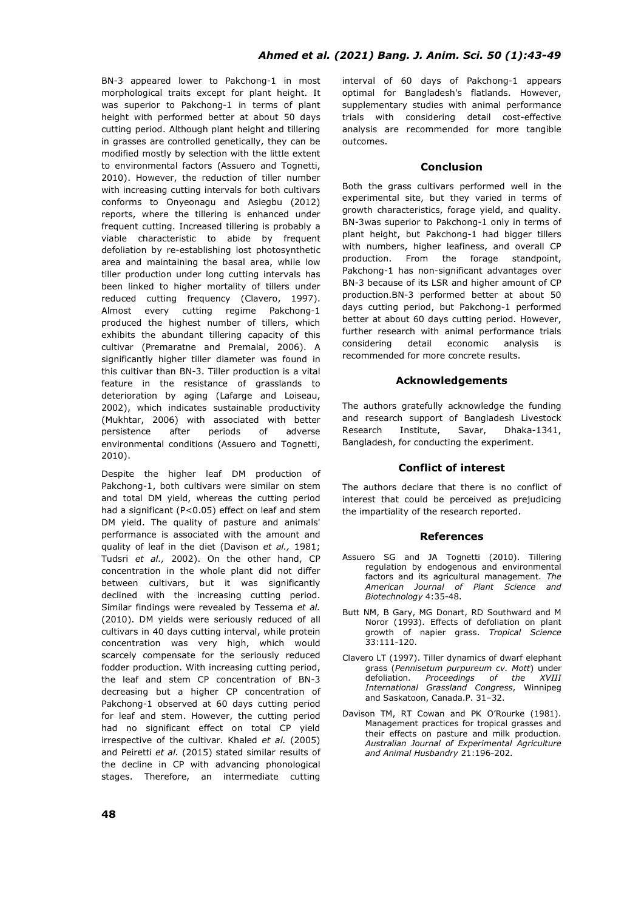BN-3 appeared lower to Pakchong-1 in most morphological traits except for plant height. It was superior to Pakchong-1 in terms of plant height with performed better at about 50 days cutting period. Although plant height and tillering in grasses are controlled genetically, they can be modified mostly by selection with the little extent to environmental factors (Assuero and Tognetti, 2010). However, the reduction of tiller number with increasing cutting intervals for both cultivars conforms to Onyeonagu and Asiegbu (2012) reports, where the tillering is enhanced under frequent cutting. Increased tillering is probably a viable characteristic to abide by frequent defoliation by re-establishing lost photosynthetic area and maintaining the basal area, while low tiller production under long cutting intervals has been linked to higher mortality of tillers under reduced cutting frequency (Clavero, 1997). Almost every cutting regime Pakchong-1 produced the highest number of tillers, which exhibits the abundant tillering capacity of this cultivar (Premaratne and Premalal, 2006). A significantly higher tiller diameter was found in this cultivar than BN-3. Tiller production is a vital feature in the resistance of grasslands to deterioration by aging (Lafarge and Loiseau, 2002), which indicates sustainable productivity (Mukhtar, 2006) with associated with better persistence after periods of adverse environmental conditions (Assuero and Tognetti, 2010).

Despite the higher leaf DM production of Pakchong-1, both cultivars were similar on stem and total DM yield, whereas the cutting period had a significant (P<0.05) effect on leaf and stem DM yield. The quality of pasture and animals' performance is associated with the amount and quality of leaf in the diet (Davison *et al.,* 1981; Tudsri *et al.,* 2002). On the other hand, CP concentration in the whole plant did not differ between cultivars, but it was significantly declined with the increasing cutting period. Similar findings were revealed by Tessema *et al.* (2010). DM yields were seriously reduced of all cultivars in 40 days cutting interval, while protein concentration was very high, which would scarcely compensate for the seriously reduced fodder production. With increasing cutting period, the leaf and stem CP concentration of BN-3 decreasing but a higher CP concentration of Pakchong-1 observed at 60 days cutting period for leaf and stem. However, the cutting period had no significant effect on total CP yield irrespective of the cultivar. Khaled *et al.* (2005) and Peiretti *et al.* (2015) stated similar results of the decline in CP with advancing phonological stages. Therefore, an intermediate cutting

interval of 60 days of Pakchong-1 appears optimal for Bangladesh's flatlands. However, supplementary studies with animal performance trials with considering detail cost-effective analysis are recommended for more tangible outcomes.

#### **Conclusion**

Both the grass cultivars performed well in the experimental site, but they varied in terms of growth characteristics, forage yield, and quality. BN-3was superior to Pakchong-1 only in terms of plant height, but Pakchong-1 had bigger tillers with numbers, higher leafiness, and overall CP production. From the forage standpoint, Pakchong-1 has non-significant advantages over BN-3 because of its LSR and higher amount of CP production.BN-3 performed better at about 50 days cutting period, but Pakchong-1 performed better at about 60 days cutting period. However, further research with animal performance trials considering detail economic analysis is recommended for more concrete results.

## **Acknowledgements**

The authors gratefully acknowledge the funding and research support of Bangladesh Livestock Research Institute, Savar, Dhaka-1341, Bangladesh, for conducting the experiment.

## **Conflict of interest**

The authors declare that there is no conflict of interest that could be perceived as prejudicing the impartiality of the research reported.

#### **References**

- Assuero SG and JA Tognetti (2010). Tillering regulation by endogenous and environmental factors and its agricultural management. *The American Journal of Plant Science and Biotechnology* 4:35-48.
- Butt NM, B Gary, MG Donart, RD Southward and M Noror (1993). Effects of defoliation on plant growth of napier grass. *Tropical Science* 33:111-120.
- Clavero LT (1997). Tiller dynamics of dwarf elephant grass (*Pennisetum purpureum cv. Mott*) under defoliation. *Proceedings of the XVIII International Grassland Congress*, Winnipeg and Saskatoon, Canada.P. 31–32.
- Davison TM, RT Cowan and PK O'Rourke (1981). Management practices for tropical grasses and their effects on pasture and milk production. *Australian Journal of Experimental Agriculture and Animal Husbandry* 21:196-202.